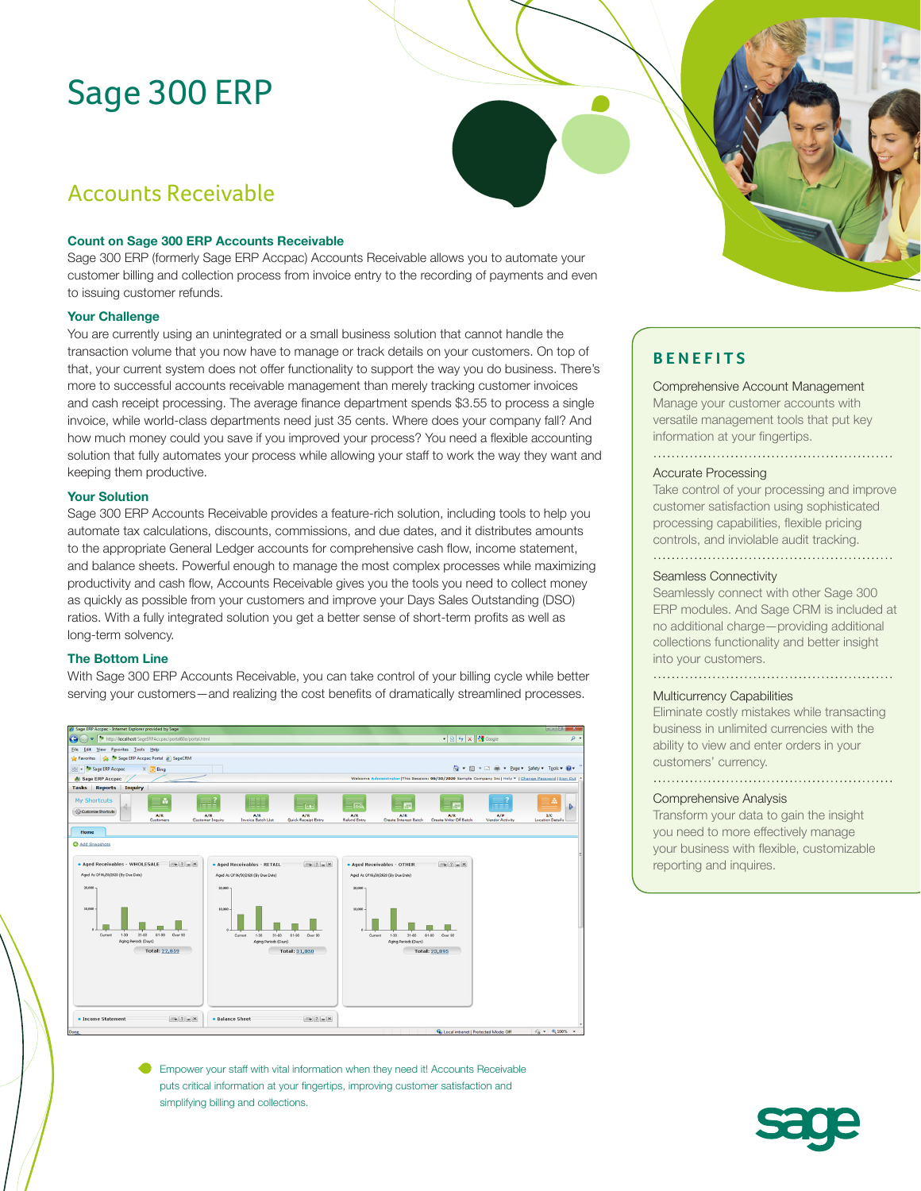# Sage 300 ERP

# Accounts Receivable

#### **Count on Sage 300 ERP Accounts Receivable**

Sage 300 ERP (formerly Sage ERP Accpac) Accounts Receivable allows you to automate your customer billing and collection process from invoice entry to the recording of payments and even to issuing customer refunds.

#### **Your Challenge**

You are currently using an unintegrated or a small business solution that cannot handle the transaction volume that you now have to manage or track details on your customers. On top of that, your current system does not offer functionality to support the way you do business. There's more to successful accounts receivable management than merely tracking customer invoices and cash receipt processing. The average finance department spends \$3.55 to process a single invoice, while world-class departments need just 35 cents. Where does your company fall? And how much money could you save if you improved your process? You need a flexible accounting solution that fully automates your process while allowing your staff to work the way they want and keeping them productive.

#### **Your Solution**

Sage 300 ERP Accounts Receivable provides a feature-rich solution, including tools to help you automate tax calculations, discounts, commissions, and due dates, and it distributes amounts to the appropriate General Ledger accounts for comprehensive cash flow, income statement, and balance sheets. Powerful enough to manage the most complex processes while maximizing productivity and cash flow, Accounts Receivable gives you the tools you need to collect money as quickly as possible from your customers and improve your Days Sales Outstanding (DSO) ratios. With a fully integrated solution you get a better sense of short-term profits as well as long-term solvency.

#### **The Bottom Line**

With Sage 300 ERP Accounts Receivable, you can take control of your billing cycle while better serving your customers—and realizing the cost benefits of dramatically streamlined processes.



Empower your staff with vital information when they need it! Accounts Receivable puts critical information at your fingertips, improving customer satisfaction and simplifying billing and collections.

### **BENEFITS**

Comprehensive Account Management Manage your customer accounts with versatile management tools that put key information at your fingertips.

#### Accurate Processing

Take control of your processing and improve customer satisfaction using sophisticated processing capabilities, flexible pricing controls, and inviolable audit tracking. 

#### Seamless Connectivity

Seamlessly connect with other Sage 300 ERP modules. And Sage CRM is included at no additional charge—providing additional collections functionality and better insight into your customers.

#### Multicurrency Capabilities

Eliminate costly mistakes while transacting business in unlimited currencies with the ability to view and enter orders in your customers' currency.

#### Comprehensive Analysis

Transform your data to gain the insight you need to more effectively manage your business with flexible, customizable reporting and inquires.